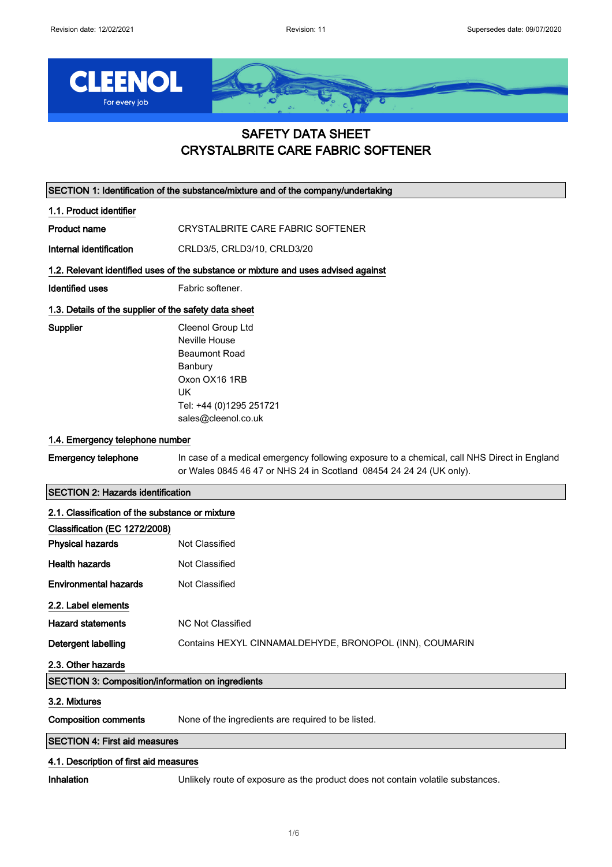

# SAFETY DATA SHEET CRYSTALBRITE CARE FABRIC SOFTENER

SECTION 1: Identification of the substance/mixture and of the company/undertaking

1.1. Product identifier

Product name CRYSTALBRITE CARE FABRIC SOFTENER

Internal identification CRLD3/5, CRLD3/10, CRLD3/20

#### 1.2. Relevant identified uses of the substance or mixture and uses advised against

Identified uses Fabric softener.

## 1.3. Details of the supplier of the safety data sheet

Supplier Cleenol Group Ltd Neville House Beaumont Road Banbury Oxon OX16 1RB UK Tel: +44 (0)1295 251721 sales@cleenol.co.uk

# 1.4. Emergency telephone number

Emergency telephone In case of a medical emergency following exposure to a chemical, call NHS Direct in England or Wales 0845 46 47 or NHS 24 in Scotland 08454 24 24 24 (UK only).

# SECTION 2: Hazards identification

| 2.1. Classification of the substance or mixture          |                                                         |  |
|----------------------------------------------------------|---------------------------------------------------------|--|
| Classification (EC 1272/2008)                            |                                                         |  |
| <b>Physical hazards</b>                                  | Not Classified                                          |  |
| <b>Health hazards</b>                                    | Not Classified                                          |  |
| <b>Environmental hazards</b>                             | Not Classified                                          |  |
| 2.2. Label elements                                      |                                                         |  |
| <b>Hazard statements</b>                                 | NC Not Classified                                       |  |
| Detergent labelling                                      | Contains HEXYL CINNAMALDEHYDE, BRONOPOL (INN), COUMARIN |  |
| 2.3. Other hazards                                       |                                                         |  |
| <b>SECTION 3: Composition/information on ingredients</b> |                                                         |  |
| 3.2. Mixtures                                            |                                                         |  |
| <b>Composition comments</b>                              | None of the ingredients are required to be listed.      |  |
| <b>SECTION 4: First aid measures</b>                     |                                                         |  |

# 4.1. Description of first aid measures

Inhalation Unlikely route of exposure as the product does not contain volatile substances.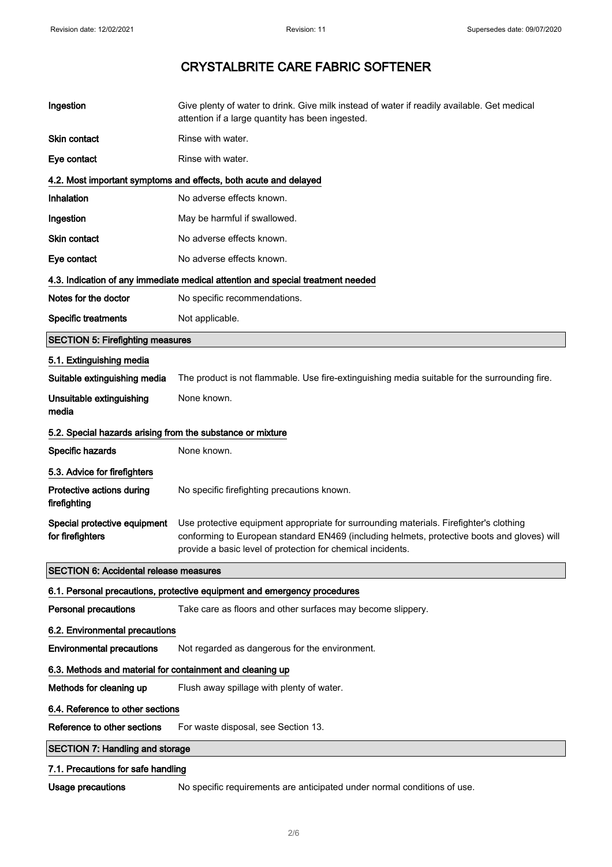| Ingestion                                                  | Give plenty of water to drink. Give milk instead of water if readily available. Get medical<br>attention if a large quantity has been ingested.                                                                                                      |  |
|------------------------------------------------------------|------------------------------------------------------------------------------------------------------------------------------------------------------------------------------------------------------------------------------------------------------|--|
| Skin contact                                               | Rinse with water.                                                                                                                                                                                                                                    |  |
| Eye contact                                                | Rinse with water.                                                                                                                                                                                                                                    |  |
|                                                            | 4.2. Most important symptoms and effects, both acute and delayed                                                                                                                                                                                     |  |
| Inhalation                                                 | No adverse effects known.                                                                                                                                                                                                                            |  |
| Ingestion                                                  | May be harmful if swallowed.                                                                                                                                                                                                                         |  |
| <b>Skin contact</b>                                        | No adverse effects known.                                                                                                                                                                                                                            |  |
| Eye contact                                                | No adverse effects known.                                                                                                                                                                                                                            |  |
|                                                            | 4.3. Indication of any immediate medical attention and special treatment needed                                                                                                                                                                      |  |
| Notes for the doctor                                       | No specific recommendations.                                                                                                                                                                                                                         |  |
| <b>Specific treatments</b>                                 | Not applicable.                                                                                                                                                                                                                                      |  |
| <b>SECTION 5: Firefighting measures</b>                    |                                                                                                                                                                                                                                                      |  |
| 5.1. Extinguishing media                                   |                                                                                                                                                                                                                                                      |  |
| Suitable extinguishing media                               | The product is not flammable. Use fire-extinguishing media suitable for the surrounding fire.                                                                                                                                                        |  |
| Unsuitable extinguishing<br>media                          | None known.                                                                                                                                                                                                                                          |  |
| 5.2. Special hazards arising from the substance or mixture |                                                                                                                                                                                                                                                      |  |
| Specific hazards                                           | None known.                                                                                                                                                                                                                                          |  |
| 5.3. Advice for firefighters                               |                                                                                                                                                                                                                                                      |  |
| Protective actions during<br>firefighting                  | No specific firefighting precautions known.                                                                                                                                                                                                          |  |
| Special protective equipment<br>for firefighters           | Use protective equipment appropriate for surrounding materials. Firefighter's clothing<br>conforming to European standard EN469 (including helmets, protective boots and gloves) will<br>provide a basic level of protection for chemical incidents. |  |
| <b>SECTION 6: Accidental release measures</b>              |                                                                                                                                                                                                                                                      |  |
|                                                            | 6.1. Personal precautions, protective equipment and emergency procedures                                                                                                                                                                             |  |
| <b>Personal precautions</b>                                | Take care as floors and other surfaces may become slippery.                                                                                                                                                                                          |  |
| 6.2. Environmental precautions                             |                                                                                                                                                                                                                                                      |  |
| <b>Environmental precautions</b>                           | Not regarded as dangerous for the environment.                                                                                                                                                                                                       |  |
| 6.3. Methods and material for containment and cleaning up  |                                                                                                                                                                                                                                                      |  |
| Methods for cleaning up                                    | Flush away spillage with plenty of water.                                                                                                                                                                                                            |  |
| 6.4. Reference to other sections                           |                                                                                                                                                                                                                                                      |  |
| Reference to other sections                                | For waste disposal, see Section 13.                                                                                                                                                                                                                  |  |
| <b>SECTION 7: Handling and storage</b>                     |                                                                                                                                                                                                                                                      |  |
| 7.1. Precautions for safe handling                         |                                                                                                                                                                                                                                                      |  |
|                                                            |                                                                                                                                                                                                                                                      |  |

Usage precautions Mo specific requirements are anticipated under normal conditions of use.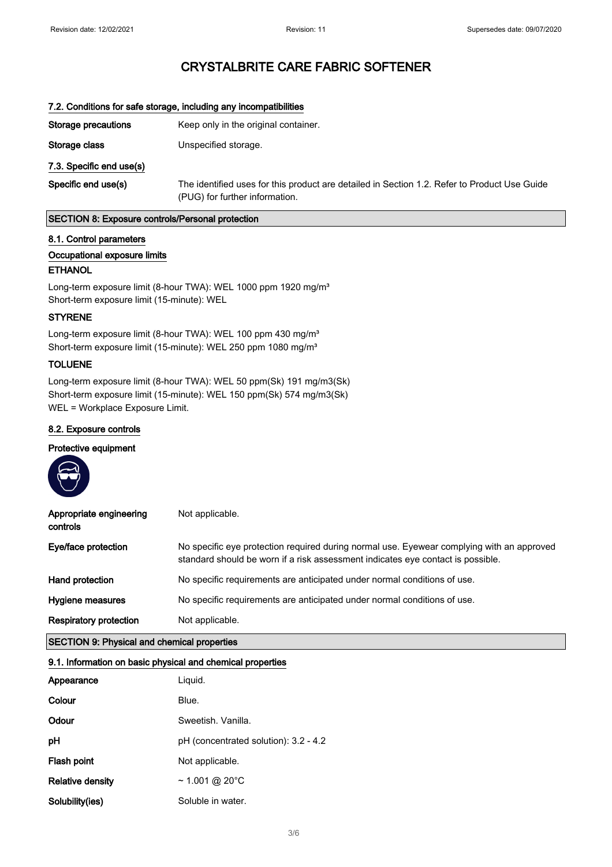| 7.2. Conditions for safe storage, including any incompatibilities |                                                                                                                                |
|-------------------------------------------------------------------|--------------------------------------------------------------------------------------------------------------------------------|
| Storage precautions                                               | Keep only in the original container.                                                                                           |
| Storage class                                                     | Unspecified storage.                                                                                                           |
| 7.3. Specific end use(s)                                          |                                                                                                                                |
| Specific end use(s)                                               | The identified uses for this product are detailed in Section 1.2. Refer to Product Use Guide<br>(PUG) for further information. |

### SECTION 8: Exposure controls/Personal protection

### 8.1. Control parameters

# Occupational exposure limits

# ETHANOL

Long-term exposure limit (8-hour TWA): WEL 1000 ppm 1920 mg/m<sup>3</sup> Short-term exposure limit (15-minute): WEL

# STYRENE

Long-term exposure limit (8-hour TWA): WEL 100 ppm 430 mg/m<sup>3</sup> Short-term exposure limit (15-minute): WEL 250 ppm 1080 mg/m<sup>3</sup>

# TOLUENE

**All Contracts** 

Long-term exposure limit (8-hour TWA): WEL 50 ppm(Sk) 191 mg/m3(Sk) Short-term exposure limit (15-minute): WEL 150 ppm(Sk) 574 mg/m3(Sk) WEL = Workplace Exposure Limit.

# 8.2. Exposure controls

# Protective equipment

| Appropriate engineering<br>controls                | Not applicable.                                                                                                                                                              |  |
|----------------------------------------------------|------------------------------------------------------------------------------------------------------------------------------------------------------------------------------|--|
| Eye/face protection                                | No specific eye protection required during normal use. Eyewear complying with an approved<br>standard should be worn if a risk assessment indicates eye contact is possible. |  |
| Hand protection                                    | No specific requirements are anticipated under normal conditions of use.                                                                                                     |  |
| Hygiene measures                                   | No specific requirements are anticipated under normal conditions of use.                                                                                                     |  |
| <b>Respiratory protection</b>                      | Not applicable.                                                                                                                                                              |  |
| <b>SECTION 9: Physical and chemical properties</b> |                                                                                                                                                                              |  |

## 9.1. Information on basic physical and chemical properties

| Appearance       | Liquid.                               |
|------------------|---------------------------------------|
| Colour           | Blue.                                 |
| Odour            | Sweetish, Vanilla.                    |
| рH               | pH (concentrated solution): 3.2 - 4.2 |
| Flash point      | Not applicable.                       |
| Relative density | $\sim$ 1.001 @ 20°C                   |
| Solubility(ies)  | Soluble in water.                     |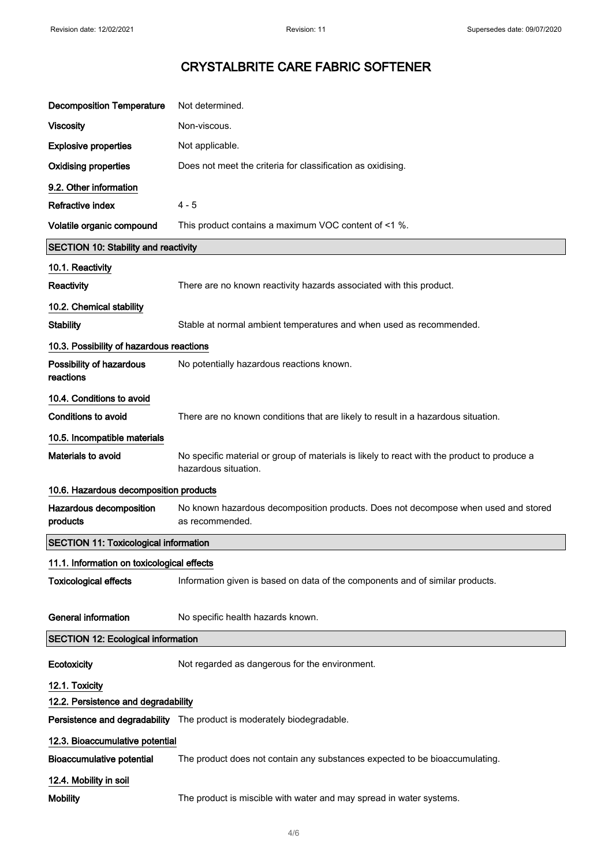| <b>Decomposition Temperature</b>             | Not determined.                                                                                                     |  |
|----------------------------------------------|---------------------------------------------------------------------------------------------------------------------|--|
| <b>Viscosity</b>                             | Non-viscous.                                                                                                        |  |
| <b>Explosive properties</b>                  | Not applicable.                                                                                                     |  |
| <b>Oxidising properties</b>                  | Does not meet the criteria for classification as oxidising.                                                         |  |
| 9.2. Other information                       |                                                                                                                     |  |
| <b>Refractive index</b>                      | $4 - 5$                                                                                                             |  |
| Volatile organic compound                    | This product contains a maximum VOC content of <1 %.                                                                |  |
| <b>SECTION 10: Stability and reactivity</b>  |                                                                                                                     |  |
| 10.1. Reactivity                             |                                                                                                                     |  |
| Reactivity                                   | There are no known reactivity hazards associated with this product.                                                 |  |
| 10.2. Chemical stability                     |                                                                                                                     |  |
| <b>Stability</b>                             | Stable at normal ambient temperatures and when used as recommended.                                                 |  |
| 10.3. Possibility of hazardous reactions     |                                                                                                                     |  |
| Possibility of hazardous<br>reactions        | No potentially hazardous reactions known.                                                                           |  |
| 10.4. Conditions to avoid                    |                                                                                                                     |  |
| <b>Conditions to avoid</b>                   | There are no known conditions that are likely to result in a hazardous situation.                                   |  |
| 10.5. Incompatible materials                 |                                                                                                                     |  |
| Materials to avoid                           | No specific material or group of materials is likely to react with the product to produce a<br>hazardous situation. |  |
| 10.6. Hazardous decomposition products       |                                                                                                                     |  |
| Hazardous decomposition<br>products          | No known hazardous decomposition products. Does not decompose when used and stored<br>as recommended.               |  |
| <b>SECTION 11: Toxicological information</b> |                                                                                                                     |  |
| 11.1. Information on toxicological effects   |                                                                                                                     |  |
| <b>Toxicological effects</b>                 | Information given is based on data of the components and of similar products.                                       |  |
| <b>General information</b>                   | No specific health hazards known.                                                                                   |  |
| <b>SECTION 12: Ecological information</b>    |                                                                                                                     |  |
| Ecotoxicity                                  | Not regarded as dangerous for the environment.                                                                      |  |
| 12.1. Toxicity                               |                                                                                                                     |  |
| 12.2. Persistence and degradability          |                                                                                                                     |  |
|                                              | Persistence and degradability The product is moderately biodegradable.                                              |  |
| 12.3. Bioaccumulative potential              |                                                                                                                     |  |
| <b>Bioaccumulative potential</b>             | The product does not contain any substances expected to be bioaccumulating.                                         |  |
| 12.4. Mobility in soil                       |                                                                                                                     |  |
| <b>Mobility</b>                              | The product is miscible with water and may spread in water systems.                                                 |  |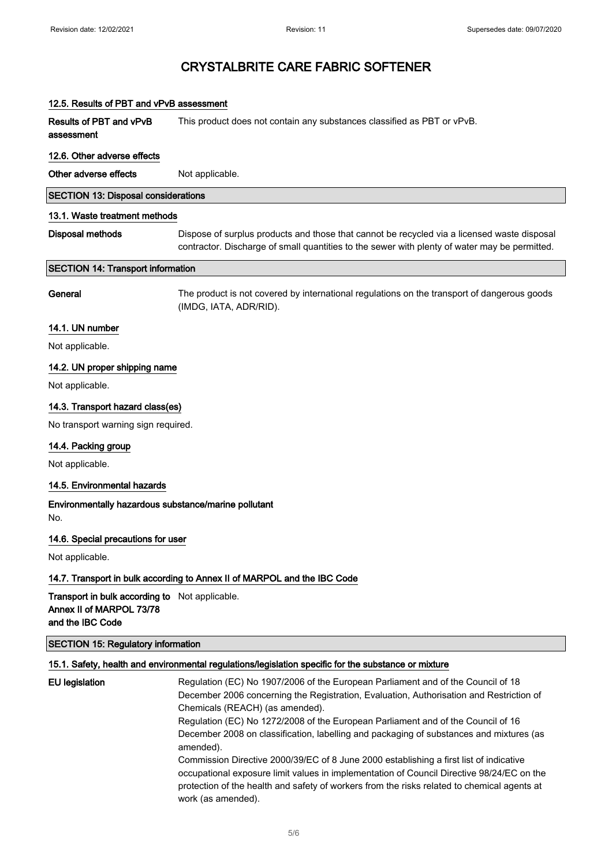| 12.5. Results of PBT and vPvB assessment                                                       |                                                                                                                                                                                                                                                                                                                                                                                               |  |
|------------------------------------------------------------------------------------------------|-----------------------------------------------------------------------------------------------------------------------------------------------------------------------------------------------------------------------------------------------------------------------------------------------------------------------------------------------------------------------------------------------|--|
| Results of PBT and vPvB<br>assessment                                                          | This product does not contain any substances classified as PBT or vPvB.                                                                                                                                                                                                                                                                                                                       |  |
| 12.6. Other adverse effects                                                                    |                                                                                                                                                                                                                                                                                                                                                                                               |  |
| Other adverse effects                                                                          | Not applicable.                                                                                                                                                                                                                                                                                                                                                                               |  |
| <b>SECTION 13: Disposal considerations</b>                                                     |                                                                                                                                                                                                                                                                                                                                                                                               |  |
| 13.1. Waste treatment methods                                                                  |                                                                                                                                                                                                                                                                                                                                                                                               |  |
| <b>Disposal methods</b>                                                                        | Dispose of surplus products and those that cannot be recycled via a licensed waste disposal<br>contractor. Discharge of small quantities to the sewer with plenty of water may be permitted.                                                                                                                                                                                                  |  |
| <b>SECTION 14: Transport information</b>                                                       |                                                                                                                                                                                                                                                                                                                                                                                               |  |
| General                                                                                        | The product is not covered by international regulations on the transport of dangerous goods<br>(IMDG, IATA, ADR/RID).                                                                                                                                                                                                                                                                         |  |
| 14.1. UN number                                                                                |                                                                                                                                                                                                                                                                                                                                                                                               |  |
| Not applicable.                                                                                |                                                                                                                                                                                                                                                                                                                                                                                               |  |
| 14.2. UN proper shipping name                                                                  |                                                                                                                                                                                                                                                                                                                                                                                               |  |
| Not applicable.                                                                                |                                                                                                                                                                                                                                                                                                                                                                                               |  |
| 14.3. Transport hazard class(es)                                                               |                                                                                                                                                                                                                                                                                                                                                                                               |  |
| No transport warning sign required.                                                            |                                                                                                                                                                                                                                                                                                                                                                                               |  |
| 14.4. Packing group                                                                            |                                                                                                                                                                                                                                                                                                                                                                                               |  |
| Not applicable.                                                                                |                                                                                                                                                                                                                                                                                                                                                                                               |  |
| 14.5. Environmental hazards                                                                    |                                                                                                                                                                                                                                                                                                                                                                                               |  |
| Environmentally hazardous substance/marine pollutant<br>No.                                    |                                                                                                                                                                                                                                                                                                                                                                                               |  |
| 14.6. Special precautions for user                                                             |                                                                                                                                                                                                                                                                                                                                                                                               |  |
| Not applicable.                                                                                |                                                                                                                                                                                                                                                                                                                                                                                               |  |
|                                                                                                | 14.7. Transport in bulk according to Annex II of MARPOL and the IBC Code                                                                                                                                                                                                                                                                                                                      |  |
| Transport in bulk according to Not applicable.<br>Annex II of MARPOL 73/78<br>and the IBC Code |                                                                                                                                                                                                                                                                                                                                                                                               |  |
| <b>SECTION 15: Regulatory information</b>                                                      |                                                                                                                                                                                                                                                                                                                                                                                               |  |
|                                                                                                | 15.1. Safety, health and environmental regulations/legislation specific for the substance or mixture                                                                                                                                                                                                                                                                                          |  |
| <b>EU</b> legislation                                                                          | Regulation (EC) No 1907/2006 of the European Parliament and of the Council of 18<br>December 2006 concerning the Registration, Evaluation, Authorisation and Restriction of<br>Chemicals (REACH) (as amended).<br>Regulation (EC) No 1272/2008 of the European Parliament and of the Council of 16<br>December 2008 on classification, labelling and packaging of substances and mixtures (as |  |

amended).

Commission Directive 2000/39/EC of 8 June 2000 establishing a first list of indicative occupational exposure limit values in implementation of Council Directive 98/24/EC on the protection of the health and safety of workers from the risks related to chemical agents at work (as amended).